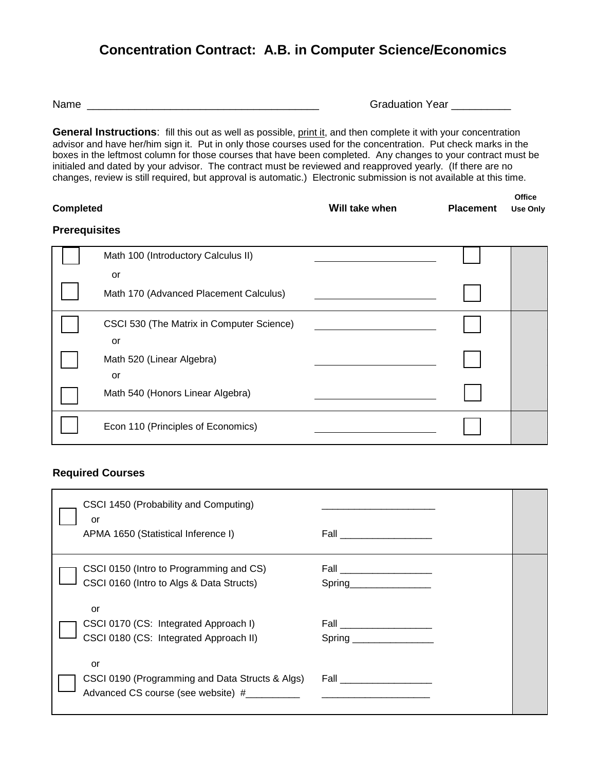## **Concentration Contract: A.B. in Computer Science/Economics**

Name \_\_\_\_\_\_\_\_\_\_\_\_\_\_\_\_\_\_\_\_\_\_\_\_\_\_\_\_\_\_\_\_\_\_\_\_\_\_\_ Graduation Year \_\_\_\_\_\_\_\_\_\_

**General Instructions**: fill this out as well as possible, print it, and then complete it with your concentration advisor and have her/him sign it. Put in only those courses used for the concentration. Put check marks in the boxes in the leftmost column for those courses that have been completed. Any changes to your contract must be initialed and dated by your advisor. The contract must be reviewed and reapproved yearly. (If there are no changes, review is still required, but approval is automatic.) Electronic submission is not available at this time.

|                  |                |                  | Office |
|------------------|----------------|------------------|--------|
| <b>Completed</b> | Will take when | <b>Placement</b> | Use On |

## **Prerequisites**

| Math 100 (Introductory Calculus II)       |  |  |
|-------------------------------------------|--|--|
| or                                        |  |  |
| Math 170 (Advanced Placement Calculus)    |  |  |
| CSCI 530 (The Matrix in Computer Science) |  |  |
| or                                        |  |  |
| Math 520 (Linear Algebra)                 |  |  |
| or                                        |  |  |
| Math 540 (Honors Linear Algebra)          |  |  |
| Econ 110 (Principles of Economics)        |  |  |

## **Required Courses**

| CSCI 1450 (Probability and Computing)<br>or<br>APMA 1650 (Statistical Inference I)          | Fall ________________     |
|---------------------------------------------------------------------------------------------|---------------------------|
| CSCI 0150 (Intro to Programming and CS)<br>CSCI 0160 (Intro to Algs & Data Structs)         | Spring_________________   |
| or<br>CSCI 0170 (CS: Integrated Approach I)<br>CSCI 0180 (CS: Integrated Approach II)       | Spring __________________ |
| or<br>CSCI 0190 (Programming and Data Structs & Algs)<br>Advanced CS course (see website) # |                           |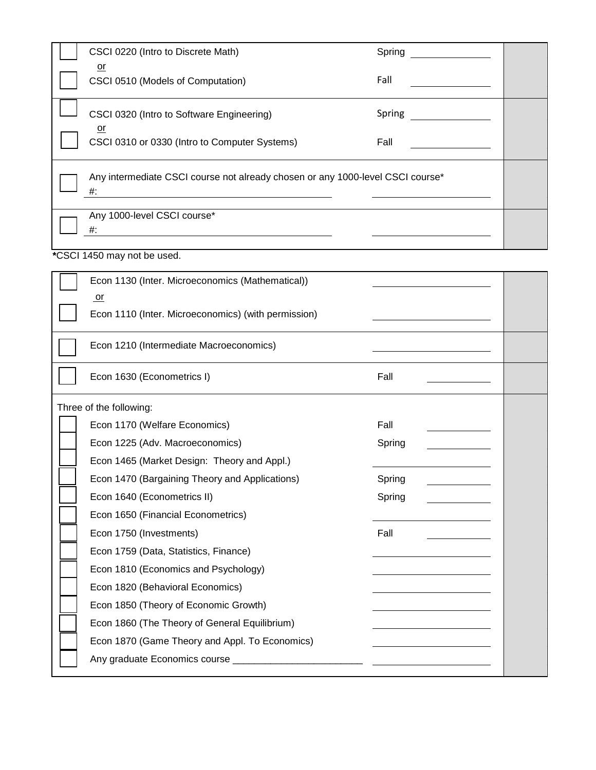| CSCI 0220 (Intro to Discrete Math)                                                      | Spring                                          |  |  |  |
|-----------------------------------------------------------------------------------------|-------------------------------------------------|--|--|--|
| or<br>CSCI 0510 (Models of Computation)                                                 | Fall                                            |  |  |  |
| CSCI 0320 (Intro to Software Engineering)                                               | Spring                                          |  |  |  |
| or<br>CSCI 0310 or 0330 (Intro to Computer Systems)                                     | Fall<br><u> 1989 - Johann Barbara, martin a</u> |  |  |  |
| Any intermediate CSCI course not already chosen or any 1000-level CSCI course*<br>$#$ : |                                                 |  |  |  |
| Any 1000-level CSCI course*<br>#:<br><u> 1989 - John Stein, Amerikaansk politiker (</u> |                                                 |  |  |  |
| *CSCI 1450 may not be used.                                                             |                                                 |  |  |  |
| Econ 1130 (Inter. Microeconomics (Mathematical))                                        |                                                 |  |  |  |
| or<br>Econ 1110 (Inter. Microeconomics) (with permission)                               |                                                 |  |  |  |
| Econ 1210 (Intermediate Macroeconomics)                                                 |                                                 |  |  |  |
| Econ 1630 (Econometrics I)                                                              | Fall                                            |  |  |  |
| Three of the following:                                                                 |                                                 |  |  |  |
| Econ 1170 (Welfare Economics)                                                           | Fall                                            |  |  |  |
| Econ 1225 (Adv. Macroeconomics)                                                         | Spring                                          |  |  |  |
| Econ 1465 (Market Design: Theory and Appl.)                                             |                                                 |  |  |  |
| Econ 1470 (Bargaining Theory and Applications)                                          | Spring                                          |  |  |  |
| Econ 1640 (Econometrics II)                                                             | Spring                                          |  |  |  |
| Econ 1650 (Financial Econometrics)                                                      |                                                 |  |  |  |
| Econ 1750 (Investments)                                                                 | Fall                                            |  |  |  |
| Econ 1759 (Data, Statistics, Finance)                                                   |                                                 |  |  |  |
| Econ 1810 (Economics and Psychology)                                                    |                                                 |  |  |  |
| Econ 1820 (Behavioral Economics)                                                        |                                                 |  |  |  |
| Econ 1850 (Theory of Economic Growth)                                                   |                                                 |  |  |  |
| Econ 1860 (The Theory of General Equilibrium)                                           |                                                 |  |  |  |
| Econ 1870 (Game Theory and Appl. To Economics)                                          |                                                 |  |  |  |
|                                                                                         |                                                 |  |  |  |